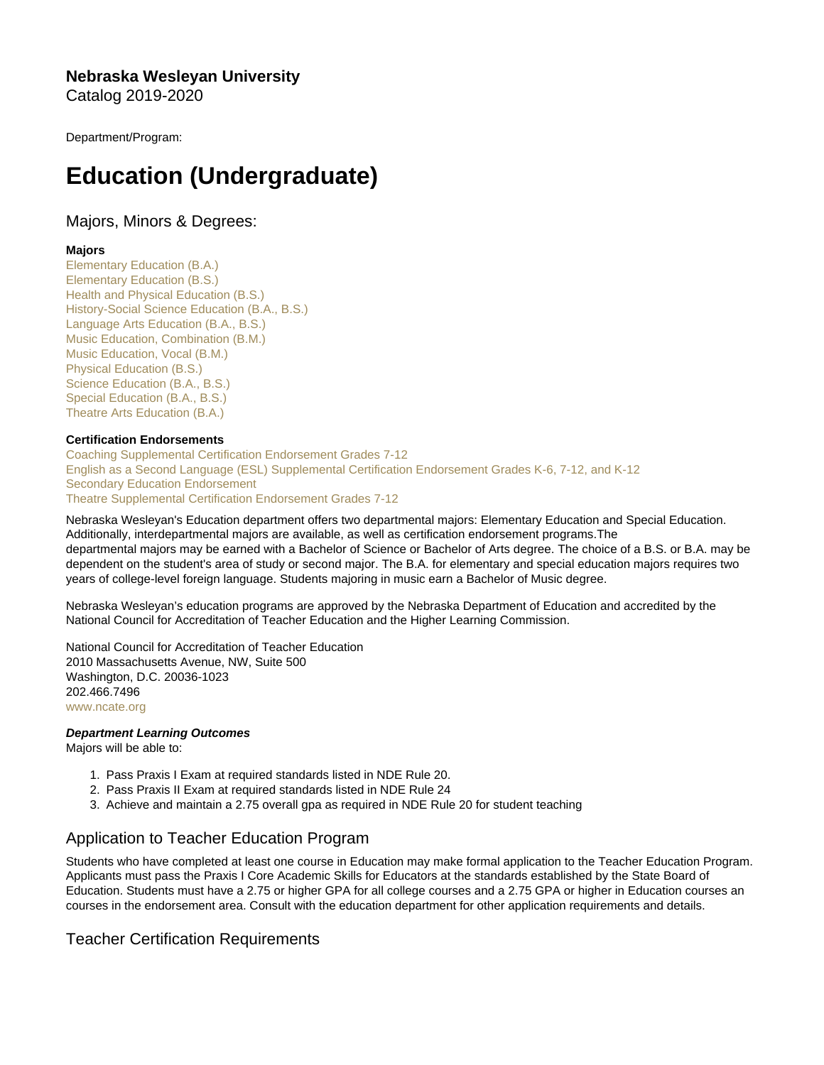Nebraska Wesleyan University Catalog 2019-2020

Department/Program:

# Education (Undergraduate)

# Majors, Minors & Degrees:

# Majors

[Elementary Education \(B.A.\)](https://catalog.nebrwesleyan.edu/cc/2019-2020/mmd/336595) [Elementary Education \(B.S.\)](https://catalog.nebrwesleyan.edu/cc/2019-2020/mmd/336909) [Health and Physical Education \(B.S.\)](https://catalog.nebrwesleyan.edu/cc/2019-2020/mmd/336613) [History-Social Science Education \(B.A., B.S.\)](https://catalog.nebrwesleyan.edu/cc/2019-2020/mmd/336598) [Language Arts Education \(B.A., B.S.\)](https://catalog.nebrwesleyan.edu/cc/2019-2020/mmd/336597) [Music Education, Combination \(B.M.\)](https://catalog.nebrwesleyan.edu/cc/2019-2020/mmd/336633) [Music Education, Vocal \(B.M.\)](https://catalog.nebrwesleyan.edu/cc/2019-2020/mmd/336632) [Physical Education \(B.S.\)](https://catalog.nebrwesleyan.edu/cc/2019-2020/mmd/336614) [Science Education \(B.A., B.S.\)](https://catalog.nebrwesleyan.edu/cc/2019-2020/mmd/336599) [Special Education \(B.A., B.S.\)](https://catalog.nebrwesleyan.edu/cc/2019-2020/mmd/336596) [Theatre Arts Education \(B.A.\)](https://catalog.nebrwesleyan.edu/cc/2019-2020/mmd/336657)

# Certification Endorsements

[Coaching Supplemental Certification Endorsement Grades 7-12](https://catalog.nebrwesleyan.edu/cc/2019-2020/mmd/336747) [English as a Second Language \(ESL\) Supplemental Certification Endorsement Grades K-6, 7-12, and K-12](https://catalog.nebrwesleyan.edu/cc/2019-2020/mmd/336748) [Secondary Education Endorsement](https://catalog.nebrwesleyan.edu/cc/2019-2020/mmd/336600) [Theatre Supplemental Certification Endorsement Grades 7-12](https://catalog.nebrwesleyan.edu/cc/2019-2020/mmd/336746)

Nebraska Wesleyan's Education department offers two departmental majors: Elementary Education and Special Education. Additionally, interdepartmental majors are available, as well as certification endorsement programs.The departmental majors may be earned with a Bachelor of Science or Bachelor of Arts degree. The choice of a B.S. or B.A. may be dependent on the student's area of study or second major. The B.A. for elementary and special education majors requires two years of college-level foreign language. Students majoring in music earn a Bachelor of Music degree.

Nebraska Wesleyan's education programs are approved by the Nebraska Department of Education and accredited by the National Council for Accreditation of Teacher Education and the Higher Learning Commission.

National Council for Accreditation of Teacher Education 2010 Massachusetts Avenue, NW, Suite 500 Washington, D.C. 20036-1023 202.466.7496 [www.ncate.org](http://www.ncate.org)

Department Learning Outcomes Majors will be able to:

- 1. Pass Praxis I Exam at required standards listed in NDE Rule 20.
- 2. Pass Praxis II Exam at required standards listed in NDE Rule 24
- 3. Achieve and maintain a 2.75 overall gpa as required in NDE Rule 20 for student teaching

# Application to Teacher Education Program

Students who have completed at least one course in Education may make formal application to the Teacher Education Program. Applicants must pass the Praxis I Core Academic Skills for Educators at the standards established by the State Board of Education. Students must have a 2.75 or higher GPA for all college courses and a 2.75 GPA or higher in Education courses an courses in the endorsement area. Consult with the education department for other application requirements and details.

# Teacher Certification Requirements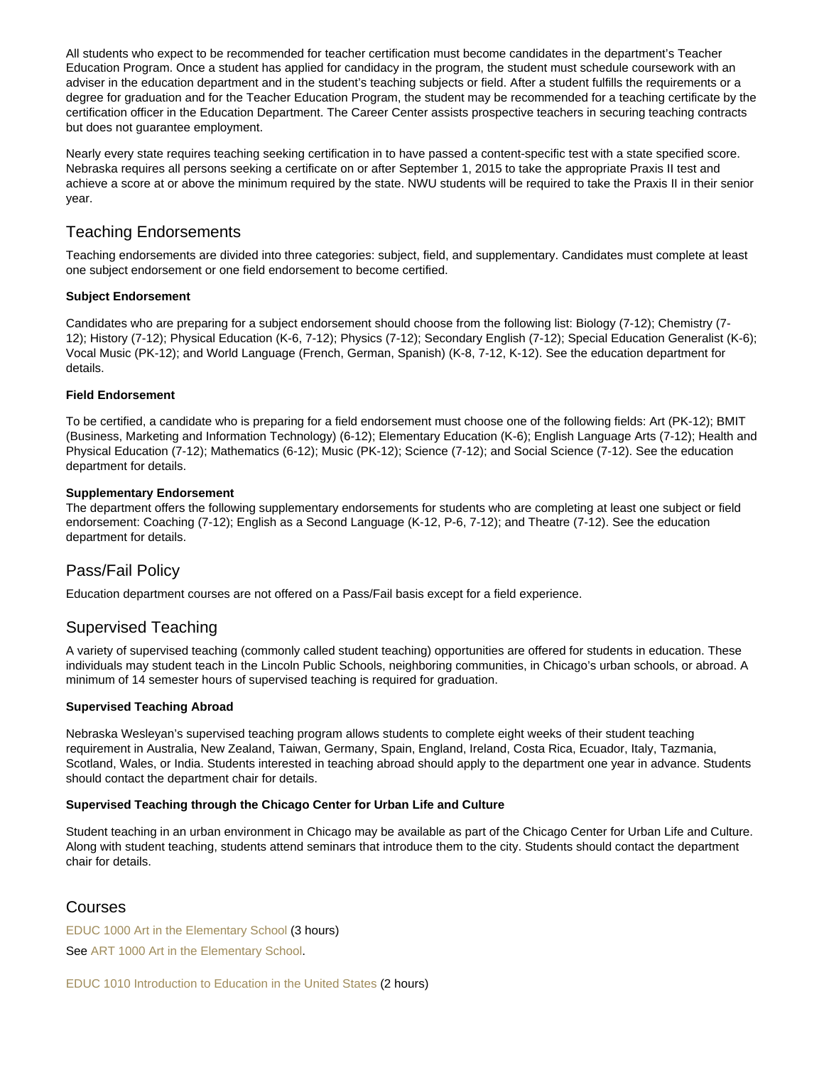All students who expect to be recommended for teacher certification must become candidates in the department's Teacher Education Program. Once a student has applied for candidacy in the program, the student must schedule coursework with an adviser in the education department and in the student's teaching subjects or field. After a student fulfills the requirements or a degree for graduation and for the Teacher Education Program, the student may be recommended for a teaching certificate by the certification officer in the Education Department. The Career Center assists prospective teachers in securing teaching contracts but does not guarantee employment.

Nearly every state requires teaching seeking certification in to have passed a content-specific test with a state specified score. Nebraska requires all persons seeking a certificate on or after September 1, 2015 to take the appropriate Praxis II test and achieve a score at or above the minimum required by the state. NWU students will be required to take the Praxis II in their senior year.

# Teaching Endorsements

Teaching endorsements are divided into three categories: subject, field, and supplementary. Candidates must complete at least one subject endorsement or one field endorsement to become certified.

# Subject Endorsement

Candidates who are preparing for a subject endorsement should choose from the following list: Biology (7-12); Chemistry (7- 12); History (7-12); Physical Education (K-6, 7-12); Physics (7-12); Secondary English (7-12); Special Education Generalist (K-6); Vocal Music (PK-12); and World Language (French, German, Spanish) (K-8, 7-12, K-12). See the education department for details.

# Field Endorsement

To be certified, a candidate who is preparing for a field endorsement must choose one of the following fields: Art (PK-12); BMIT (Business, Marketing and Information Technology) (6-12); Elementary Education (K-6); English Language Arts (7-12); Health and Physical Education (7-12); Mathematics (6-12); Music (PK-12); Science (7-12); and Social Science (7-12). See the education department for details.

# Supplementary Endorsement

The department offers the following supplementary endorsements for students who are completing at least one subject or field endorsement: Coaching (7-12); English as a Second Language (K-12, P-6, 7-12); and Theatre (7-12). See the education department for details.

# Pass/Fail Policy

Education department courses are not offered on a Pass/Fail basis except for a field experience.

# Supervised Teaching

A variety of supervised teaching (commonly called student teaching) opportunities are offered for students in education. These individuals may student teach in the Lincoln Public Schools, neighboring communities, in Chicago's urban schools, or abroad. A minimum of 14 semester hours of supervised teaching is required for graduation.

# Supervised Teaching Abroad

Nebraska Wesleyan's supervised teaching program allows students to complete eight weeks of their student teaching requirement in Australia, New Zealand, Taiwan, Germany, Spain, England, Ireland, Costa Rica, Ecuador, Italy, Tazmania, Scotland, Wales, or India. Students interested in teaching abroad should apply to the department one year in advance. Students should contact the department chair for details.

Supervised Teaching through the Chicago Center for Urban Life and Culture

Student teaching in an urban environment in Chicago may be available as part of the Chicago Center for Urban Life and Culture. Along with student teaching, students attend seminars that introduce them to the city. Students should contact the department chair for details.

# Courses

[EDUC 1000 Art in the Elementary School](https://catalog.nebrwesleyan.edu/node/333211) (3 hours) See [ART 1000 Art in the Elementary School.](https://catalog.nebrwesleyan.edu/cc/2019-2020/course/333010)

[EDUC 1010 Introduction to Education in the United States](https://catalog.nebrwesleyan.edu/node/333212) (2 hours)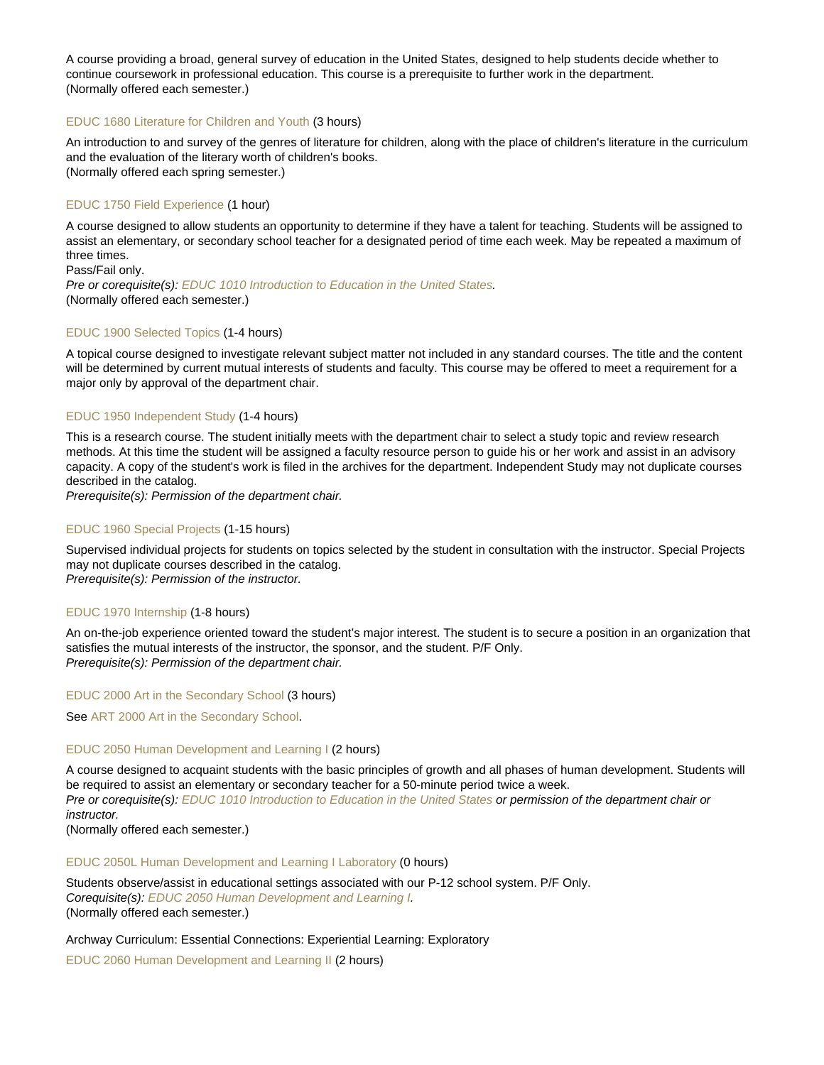A course providing a broad, general survey of education in the United States, designed to help students decide whether to continue coursework in professional education. This course is a prerequisite to further work in the department. (Normally offered each semester.)

### [EDUC 1680 Literature for Children and Youth](https://catalog.nebrwesleyan.edu/node/335601) (3 hours)

An introduction to and survey of the genres of literature for children, along with the place of children's literature in the curriculum and the evaluation of the literary worth of children's books. (Normally offered each spring semester.)

# [EDUC 1750 Field Experience](https://catalog.nebrwesleyan.edu/node/333213) (1 hour)

A course designed to allow students an opportunity to determine if they have a talent for teaching. Students will be assigned to assist an elementary, or secondary school teacher for a designated period of time each week. May be repeated a maximum of three times.

Pass/Fail only. Pre or corequisite(s): [EDUC 1010 Introduction to Education in the United States](https://catalog.nebrwesleyan.edu/cc/2021-2022/course/359733). (Normally offered each semester.)

#### [EDUC 1900 Selected Topics](https://catalog.nebrwesleyan.edu/node/334804) (1-4 hours)

A topical course designed to investigate relevant subject matter not included in any standard courses. The title and the content will be determined by current mutual interests of students and faculty. This course may be offered to meet a requirement for a major only by approval of the department chair.

#### [EDUC 1950 Independent Study](https://catalog.nebrwesleyan.edu/node/334805) (1-4 hours)

This is a research course. The student initially meets with the department chair to select a study topic and review research methods. At this time the student will be assigned a faculty resource person to guide his or her work and assist in an advisory capacity. A copy of the student's work is filed in the archives for the department. Independent Study may not duplicate courses described in the catalog.

Prerequisite(s): Permission of the department chair.

### [EDUC 1960 Special Projects](https://catalog.nebrwesleyan.edu/node/334806) (1-15 hours)

Supervised individual projects for students on topics selected by the student in consultation with the instructor. Special Projects may not duplicate courses described in the catalog. Prerequisite(s): Permission of the instructor.

#### [EDUC 1970 Internship](https://catalog.nebrwesleyan.edu/node/334807) (1-8 hours)

An on-the-job experience oriented toward the student's major interest. The student is to secure a position in an organization that satisfies the mutual interests of the instructor, the sponsor, and the student. P/F Only. Prerequisite(s): Permission of the department chair.

#### [EDUC 2000 Art in the Secondary School](https://catalog.nebrwesleyan.edu/node/333214) (3 hours)

See [ART 2000 Art in the Secondary School](https://catalog.nebrwesleyan.edu/cc/2021-2022/course/359544).

#### [EDUC 2050 Human Development and Learning I](https://catalog.nebrwesleyan.edu/node/333215) (2 hours)

A course designed to acquaint students with the basic principles of growth and all phases of human development. Students will be required to assist an elementary or secondary teacher for a 50-minute period twice a week. Pre or corequisite(s): [EDUC 1010 Introduction to Education in the United States](https://catalog.nebrwesleyan.edu/cc/2021-2022/course/359733) or permission of the department chair or instructor.

(Normally offered each semester.)

#### [EDUC 2050L Human Development and Learning I Laboratory](https://catalog.nebrwesleyan.edu/node/333216) (0 hours)

Students observe/assist in educational settings associated with our P-12 school system. P/F Only. Corequisite(s): [EDUC 2050 Human Development and Learning I](https://catalog.nebrwesleyan.edu/cc/2021-2022/course/359736). (Normally offered each semester.)

Archway Curriculum: Essential Connections: Experiential Learning: Exploratory

[EDUC 2060 Human Development and Learning II](https://catalog.nebrwesleyan.edu/node/333217) (2 hours)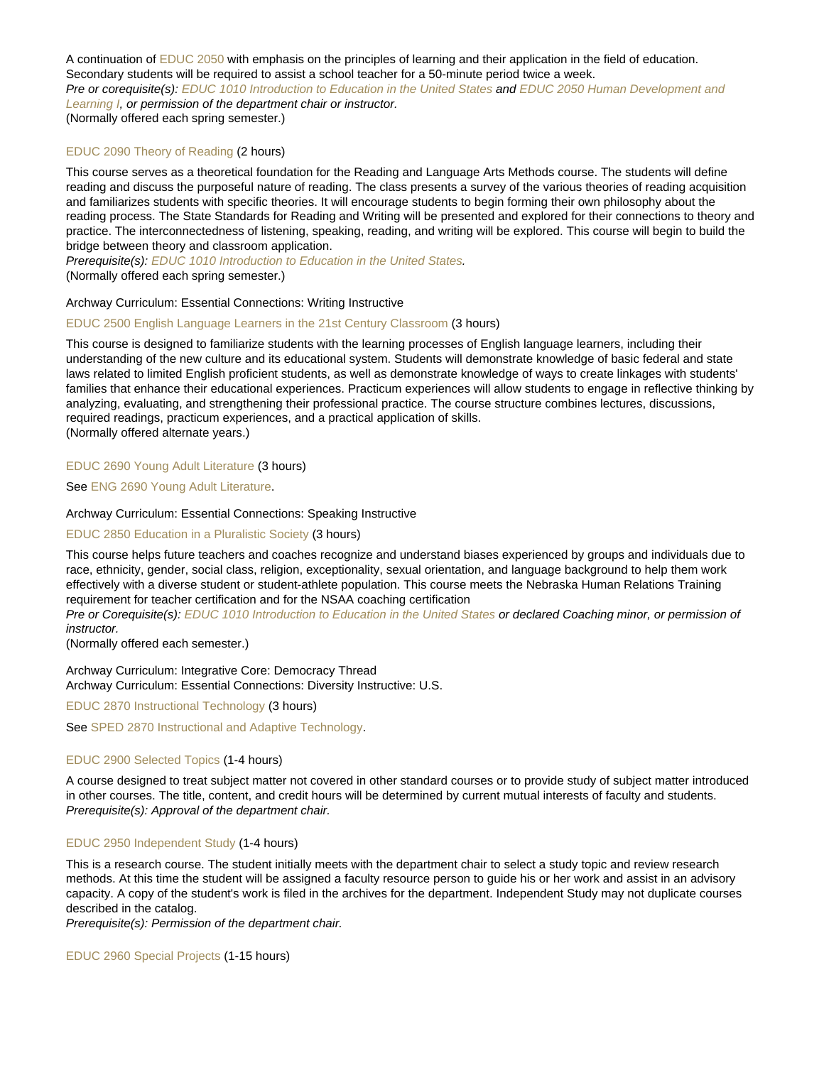A continuation of [EDUC 2050](https://catalog.nebrwesleyan.edu/cc/2021-2022/course/359736) with emphasis on the principles of learning and their application in the field of education. Secondary students will be required to assist a school teacher for a 50-minute period twice a week. Pre or corequisite(s): [EDUC 1010 Introduction to Education in the United States](https://catalog.nebrwesleyan.edu/cc/2021-2022/course/359733) and [EDUC 2050 Human Development and](https://catalog.nebrwesleyan.edu/cc/2021-2022/course/359736) [Learning I](https://catalog.nebrwesleyan.edu/cc/2021-2022/course/359736), or permission of the department chair or instructor. (Normally offered each spring semester.)

#### [EDUC 2090 Theory of Reading](https://catalog.nebrwesleyan.edu/node/333219) (2 hours)

This course serves as a theoretical foundation for the Reading and Language Arts Methods course. The students will define reading and discuss the purposeful nature of reading. The class presents a survey of the various theories of reading acquisition and familiarizes students with specific theories. It will encourage students to begin forming their own philosophy about the reading process. The State Standards for Reading and Writing will be presented and explored for their connections to theory and practice. The interconnectedness of listening, speaking, reading, and writing will be explored. This course will begin to build the bridge between theory and classroom application.

Prerequisite(s): [EDUC 1010 Introduction to Education in the United States.](https://catalog.nebrwesleyan.edu/cc/2021-2022/course/359733)

(Normally offered each spring semester.)

### Archway Curriculum: Essential Connections: Writing Instructive

#### [EDUC 2500 English Language Learners in the 21st Century Classroom](https://catalog.nebrwesleyan.edu/node/333220) (3 hours)

This course is designed to familiarize students with the learning processes of English language learners, including their understanding of the new culture and its educational system. Students will demonstrate knowledge of basic federal and state laws related to limited English proficient students, as well as demonstrate knowledge of ways to create linkages with students' families that enhance their educational experiences. Practicum experiences will allow students to engage in reflective thinking by analyzing, evaluating, and strengthening their professional practice. The course structure combines lectures, discussions, required readings, practicum experiences, and a practical application of skills. (Normally offered alternate years.)

# [EDUC 2690 Young Adult Literature](https://catalog.nebrwesleyan.edu/node/333222) (3 hours)

See [ENG 2690 Young Adult Literature.](https://catalog.nebrwesleyan.edu/cc/2021-2022/course/360303)

#### Archway Curriculum: Essential Connections: Speaking Instructive

#### [EDUC 2850 Education in a Pluralistic Society](https://catalog.nebrwesleyan.edu/node/333223) (3 hours)

This course helps future teachers and coaches recognize and understand biases experienced by groups and individuals due to race, ethnicity, gender, social class, religion, exceptionality, sexual orientation, and language background to help them work effectively with a diverse student or student-athlete population. This course meets the Nebraska Human Relations Training requirement for teacher certification and for the NSAA coaching certification

Pre or Corequisite(s): [EDUC 1010 Introduction to Education in the United States](https://catalog.nebrwesleyan.edu/cc/2019-2020/course/333212) or declared Coaching minor, or permission of instructor.

(Normally offered each semester.)

Archway Curriculum: Integrative Core: Democracy Thread Archway Curriculum: Essential Connections: Diversity Instructive: U.S.

[EDUC 2870 Instructional Technology](https://catalog.nebrwesleyan.edu/node/333224) (3 hours)

See [SPED 2870 Instructional and Adaptive Technology.](https://catalog.nebrwesleyan.edu/cc/2021-2022/course/360232)

#### [EDUC 2900 Selected Topics](https://catalog.nebrwesleyan.edu/node/334340) (1-4 hours)

A course designed to treat subject matter not covered in other standard courses or to provide study of subject matter introduced in other courses. The title, content, and credit hours will be determined by current mutual interests of faculty and students. Prerequisite(s): Approval of the department chair.

# [EDUC 2950 Independent Study](https://catalog.nebrwesleyan.edu/node/334808) (1-4 hours)

This is a research course. The student initially meets with the department chair to select a study topic and review research methods. At this time the student will be assigned a faculty resource person to guide his or her work and assist in an advisory capacity. A copy of the student's work is filed in the archives for the department. Independent Study may not duplicate courses described in the catalog.

Prerequisite(s): Permission of the department chair.

[EDUC 2960 Special Projects](https://catalog.nebrwesleyan.edu/node/333225) (1-15 hours)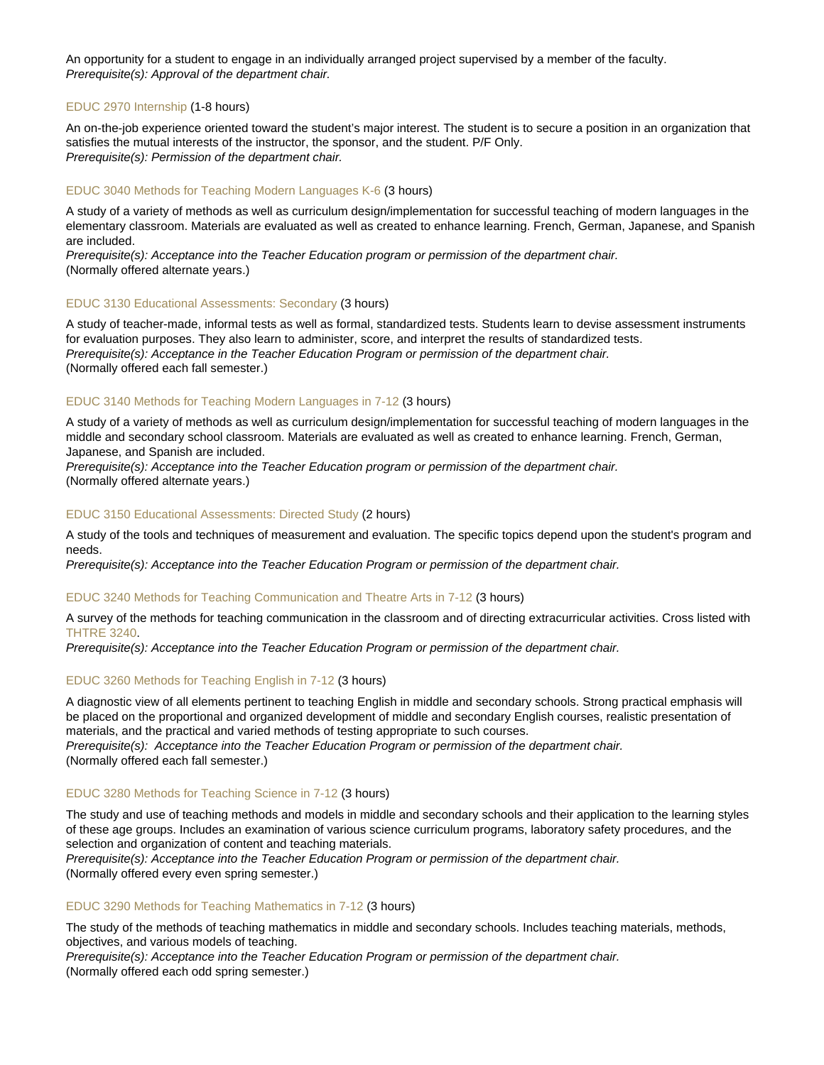An opportunity for a student to engage in an individually arranged project supervised by a member of the faculty. Prerequisite(s): Approval of the department chair.

# [EDUC 2970 Internship](https://catalog.nebrwesleyan.edu/node/334809) (1-8 hours)

An on-the-job experience oriented toward the student's major interest. The student is to secure a position in an organization that satisfies the mutual interests of the instructor, the sponsor, and the student. P/F Only. Prerequisite(s): Permission of the department chair.

# [EDUC 3040 Methods for Teaching Modern Languages K-6](https://catalog.nebrwesleyan.edu/node/333226) (3 hours)

A study of a variety of methods as well as curriculum design/implementation for successful teaching of modern languages in the elementary classroom. Materials are evaluated as well as created to enhance learning. French, German, Japanese, and Spanish are included.

Prerequisite(s): Acceptance into the Teacher Education program or permission of the department chair. (Normally offered alternate years.)

# [EDUC 3130 Educational Assessments: Secondary](https://catalog.nebrwesleyan.edu/node/333227) (3 hours)

A study of teacher-made, informal tests as well as formal, standardized tests. Students learn to devise assessment instruments for evaluation purposes. They also learn to administer, score, and interpret the results of standardized tests. Prerequisite(s): Acceptance in the Teacher Education Program or permission of the department chair. (Normally offered each fall semester.)

# [EDUC 3140 Methods for Teaching Modern Languages in 7-12](https://catalog.nebrwesleyan.edu/node/333228) (3 hours)

A study of a variety of methods as well as curriculum design/implementation for successful teaching of modern languages in the middle and secondary school classroom. Materials are evaluated as well as created to enhance learning. French, German, Japanese, and Spanish are included.

Prerequisite(s): Acceptance into the Teacher Education program or permission of the department chair. (Normally offered alternate years.)

# [EDUC 3150 Educational Assessments: Directed Study](https://catalog.nebrwesleyan.edu/node/333229) (2 hours)

A study of the tools and techniques of measurement and evaluation. The specific topics depend upon the student's program and needs.

Prerequisite(s): Acceptance into the Teacher Education Program or permission of the department chair.

# [EDUC 3240 Methods for Teaching Communication and Theatre Arts in 7-12](https://catalog.nebrwesleyan.edu/node/333232) (3 hours)

A survey of the methods for teaching communication in the classroom and of directing extracurricular activities. Cross listed with [THTRE 3240.](https://catalog.nebrwesleyan.edu/cc/2021-2022/course/360648)

Prerequisite(s): Acceptance into the Teacher Education Program or permission of the department chair.

### [EDUC 3260 Methods for Teaching English in 7-12](https://catalog.nebrwesleyan.edu/node/335886) (3 hours)

A diagnostic view of all elements pertinent to teaching English in middle and secondary schools. Strong practical emphasis will be placed on the proportional and organized development of middle and secondary English courses, realistic presentation of materials, and the practical and varied methods of testing appropriate to such courses.

Prerequisite(s): Acceptance into the Teacher Education Program or permission of the department chair. (Normally offered each fall semester.)

### [EDUC 3280 Methods for Teaching Science in 7-12](https://catalog.nebrwesleyan.edu/node/333233) (3 hours)

The study and use of teaching methods and models in middle and secondary schools and their application to the learning styles of these age groups. Includes an examination of various science curriculum programs, laboratory safety procedures, and the selection and organization of content and teaching materials.

Prerequisite(s): Acceptance into the Teacher Education Program or permission of the department chair. (Normally offered every even spring semester.)

### [EDUC 3290 Methods for Teaching Mathematics in 7-12](https://catalog.nebrwesleyan.edu/node/333234) (3 hours)

The study of the methods of teaching mathematics in middle and secondary schools. Includes teaching materials, methods, objectives, and various models of teaching.

Prerequisite(s): Acceptance into the Teacher Education Program or permission of the department chair. (Normally offered each odd spring semester.)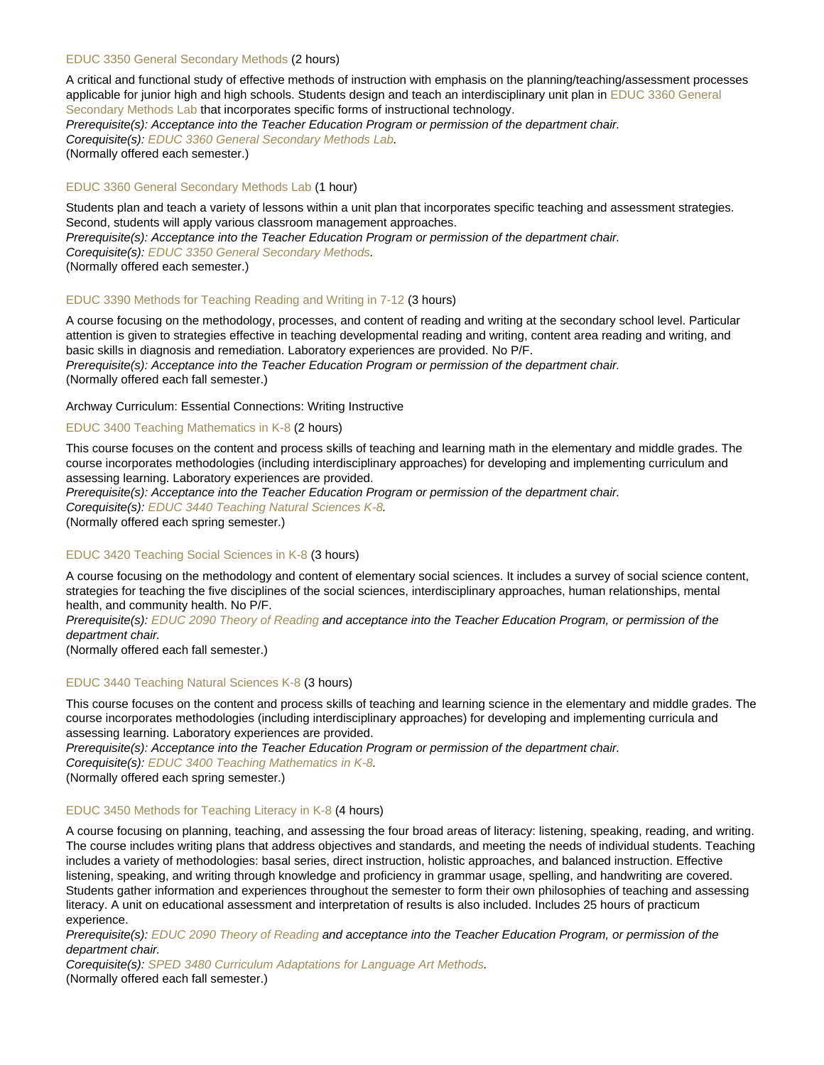#### [EDUC 3350 General Secondary Methods](https://catalog.nebrwesleyan.edu/node/333235) (2 hours)

A critical and functional study of effective methods of instruction with emphasis on the planning/teaching/assessment processes applicable for junior high and high schools. Students design and teach an interdisciplinary unit plan in [EDUC 3360 General](https://catalog.nebrwesleyan.edu/cc/2021-2022/course/359757) [Secondary Methods Lab](https://catalog.nebrwesleyan.edu/cc/2021-2022/course/359757) that incorporates specific forms of instructional technology. Prerequisite(s): Acceptance into the Teacher Education Program or permission of the department chair.

Corequisite(s): [EDUC 3360 General Secondary Methods Lab.](https://catalog.nebrwesleyan.edu/cc/2021-2022/course/359757) (Normally offered each semester.)

#### [EDUC 3360 General Secondary Methods Lab](https://catalog.nebrwesleyan.edu/node/333236) (1 hour)

Students plan and teach a variety of lessons within a unit plan that incorporates specific teaching and assessment strategies. Second, students will apply various classroom management approaches.

Prerequisite(s): Acceptance into the Teacher Education Program or permission of the department chair. Corequisite(s): [EDUC 3350 General Secondary Methods](https://catalog.nebrwesleyan.edu/cc/2021-2022/course/359756).

(Normally offered each semester.)

#### [EDUC 3390 Methods for Teaching Reading and Writing in 7-12](https://catalog.nebrwesleyan.edu/node/333238) (3 hours)

A course focusing on the methodology, processes, and content of reading and writing at the secondary school level. Particular attention is given to strategies effective in teaching developmental reading and writing, content area reading and writing, and basic skills in diagnosis and remediation. Laboratory experiences are provided. No P/F. Prerequisite(s): Acceptance into the Teacher Education Program or permission of the department chair.

(Normally offered each fall semester.)

Archway Curriculum: Essential Connections: Writing Instructive

#### [EDUC 3400 Teaching Mathematics in K-8](https://catalog.nebrwesleyan.edu/node/334197) (2 hours)

This course focuses on the content and process skills of teaching and learning math in the elementary and middle grades. The course incorporates methodologies (including interdisciplinary approaches) for developing and implementing curriculum and assessing learning. Laboratory experiences are provided.

Prerequisite(s): Acceptance into the Teacher Education Program or permission of the department chair.

Corequisite(s): [EDUC 3440 Teaching Natural Sciences K-8.](https://catalog.nebrwesleyan.edu/cc/2021-2022/course/359761)

(Normally offered each spring semester.)

### [EDUC 3420 Teaching Social Sciences in K-8](https://catalog.nebrwesleyan.edu/node/333239) (3 hours)

A course focusing on the methodology and content of elementary social sciences. It includes a survey of social science content, strategies for teaching the five disciplines of the social sciences, interdisciplinary approaches, human relationships, mental health, and community health. No P/F.

Prerequisite(s): [EDUC 2090 Theory of Reading](https://catalog.nebrwesleyan.edu/cc/2019-2020/course/333219) and acceptance into the Teacher Education Program, or permission of the department chair.

(Normally offered each fall semester.)

#### [EDUC 3440 Teaching Natural Sciences K-8](https://catalog.nebrwesleyan.edu/node/333240) (3 hours)

This course focuses on the content and process skills of teaching and learning science in the elementary and middle grades. The course incorporates methodologies (including interdisciplinary approaches) for developing and implementing curricula and assessing learning. Laboratory experiences are provided.

Prerequisite(s): Acceptance into the Teacher Education Program or permission of the department chair. Corequisite(s): [EDUC 3400 Teaching Mathematics in K-8](https://catalog.nebrwesleyan.edu/cc/2021-2022/course/360716).

(Normally offered each spring semester.)

### [EDUC 3450 Methods for Teaching Literacy in K-8](https://catalog.nebrwesleyan.edu/node/333241) (4 hours)

A course focusing on planning, teaching, and assessing the four broad areas of literacy: listening, speaking, reading, and writing. The course includes writing plans that address objectives and standards, and meeting the needs of individual students. Teaching includes a variety of methodologies: basal series, direct instruction, holistic approaches, and balanced instruction. Effective listening, speaking, and writing through knowledge and proficiency in grammar usage, spelling, and handwriting are covered. Students gather information and experiences throughout the semester to form their own philosophies of teaching and assessing literacy. A unit on educational assessment and interpretation of results is also included. Includes 25 hours of practicum experience.

Prerequisite(s): [EDUC 2090 Theory of Reading](https://catalog.nebrwesleyan.edu/cc/2021-2022/course/359740) and acceptance into the Teacher Education Program, or permission of the department chair.

Corequisite(s): [SPED 3480 Curriculum Adaptations for Language Art Methods.](https://catalog.nebrwesleyan.edu/cc/2021-2022/course/360237)

(Normally offered each fall semester.)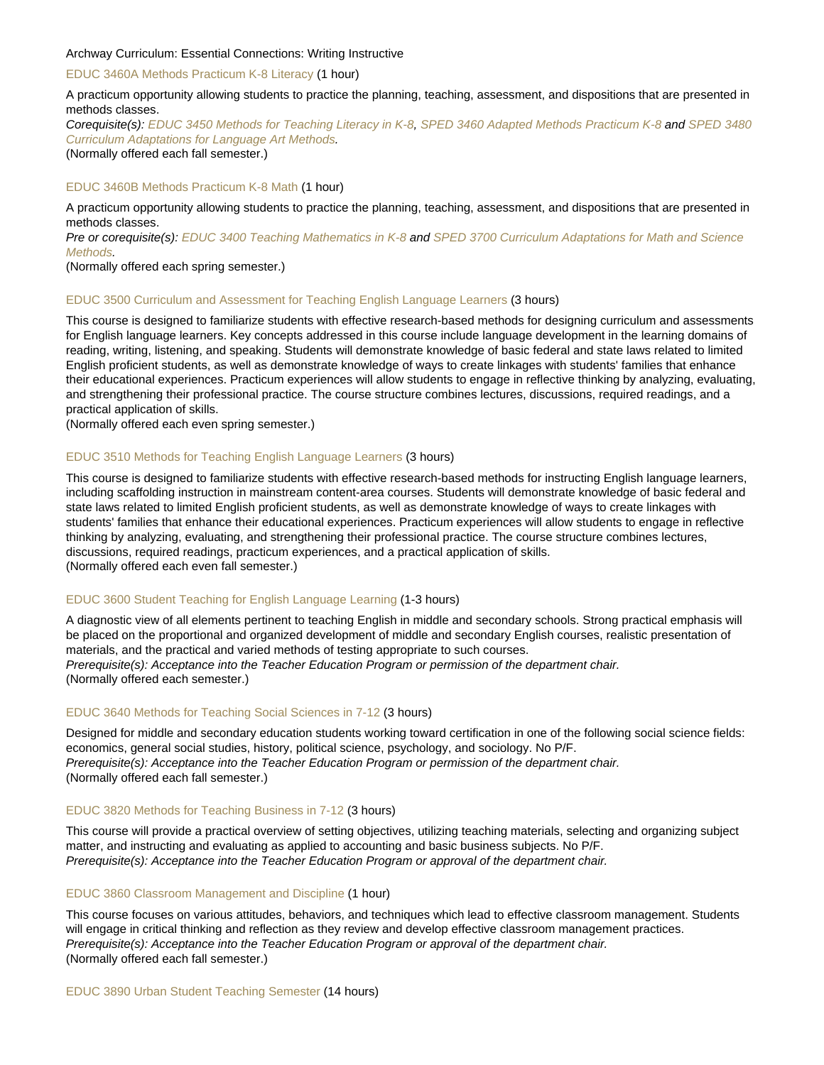#### Archway Curriculum: Essential Connections: Writing Instructive

#### [EDUC 3460A Methods Practicum K-8 Literacy](https://catalog.nebrwesleyan.edu/node/333243) (1 hour)

A practicum opportunity allowing students to practice the planning, teaching, assessment, and dispositions that are presented in methods classes.

Corequisite(s): [EDUC 3450 Methods for Teaching Literacy in K-8,](https://catalog.nebrwesleyan.edu/cc/2021-2022/course/359762) [SPED 3460 Adapted Methods Practicum K-8](https://catalog.nebrwesleyan.edu/cc/2021-2022/course/360236) and [SPED 3480](https://catalog.nebrwesleyan.edu/cc/2021-2022/course/360237) [Curriculum Adaptations for Language Art Methods](https://catalog.nebrwesleyan.edu/cc/2021-2022/course/360237).

(Normally offered each fall semester.)

### [EDUC 3460B Methods Practicum K-8 Math](https://catalog.nebrwesleyan.edu/node/333244) (1 hour)

A practicum opportunity allowing students to practice the planning, teaching, assessment, and dispositions that are presented in methods classes.

Pre or corequisite(s): [EDUC 3400 Teaching Mathematics in K-8](https://catalog.nebrwesleyan.edu/cc/2021-2022/course/360716) and [SPED 3700 Curriculum Adaptations for Math and Science](https://catalog.nebrwesleyan.edu/cc/2021-2022/course/360239) [Methods.](https://catalog.nebrwesleyan.edu/cc/2021-2022/course/360239)

(Normally offered each spring semester.)

#### [EDUC 3500 Curriculum and Assessment for Teaching English Language Learners](https://catalog.nebrwesleyan.edu/node/333245) (3 hours)

This course is designed to familiarize students with effective research-based methods for designing curriculum and assessments for English language learners. Key concepts addressed in this course include language development in the learning domains of reading, writing, listening, and speaking. Students will demonstrate knowledge of basic federal and state laws related to limited English proficient students, as well as demonstrate knowledge of ways to create linkages with students' families that enhance their educational experiences. Practicum experiences will allow students to engage in reflective thinking by analyzing, evaluating, and strengthening their professional practice. The course structure combines lectures, discussions, required readings, and a practical application of skills.

(Normally offered each even spring semester.)

#### [EDUC 3510 Methods for Teaching English Language Learners](https://catalog.nebrwesleyan.edu/node/333246) (3 hours)

This course is designed to familiarize students with effective research-based methods for instructing English language learners, including scaffolding instruction in mainstream content-area courses. Students will demonstrate knowledge of basic federal and state laws related to limited English proficient students, as well as demonstrate knowledge of ways to create linkages with students' families that enhance their educational experiences. Practicum experiences will allow students to engage in reflective thinking by analyzing, evaluating, and strengthening their professional practice. The course structure combines lectures, discussions, required readings, practicum experiences, and a practical application of skills. (Normally offered each even fall semester.)

# [EDUC 3600 Student Teaching for English Language Learning](https://catalog.nebrwesleyan.edu/node/333249) (1-3 hours)

A diagnostic view of all elements pertinent to teaching English in middle and secondary schools. Strong practical emphasis will be placed on the proportional and organized development of middle and secondary English courses, realistic presentation of materials, and the practical and varied methods of testing appropriate to such courses. Prerequisite(s): Acceptance into the Teacher Education Program or permission of the department chair. (Normally offered each semester.)

#### [EDUC 3640 Methods for Teaching Social Sciences in 7-12](https://catalog.nebrwesleyan.edu/node/334159) (3 hours)

Designed for middle and secondary education students working toward certification in one of the following social science fields: economics, general social studies, history, political science, psychology, and sociology. No P/F. Prerequisite(s): Acceptance into the Teacher Education Program or permission of the department chair. (Normally offered each fall semester.)

#### [EDUC 3820 Methods for Teaching Business in 7-12](https://catalog.nebrwesleyan.edu/node/333253) (3 hours)

This course will provide a practical overview of setting objectives, utilizing teaching materials, selecting and organizing subject matter, and instructing and evaluating as applied to accounting and basic business subjects. No P/F. Prerequisite(s): Acceptance into the Teacher Education Program or approval of the department chair.

#### [EDUC 3860 Classroom Management and Discipline](https://catalog.nebrwesleyan.edu/node/333367) (1 hour)

This course focuses on various attitudes, behaviors, and techniques which lead to effective classroom management. Students will engage in critical thinking and reflection as they review and develop effective classroom management practices. Prerequisite(s): Acceptance into the Teacher Education Program or approval of the department chair. (Normally offered each fall semester.)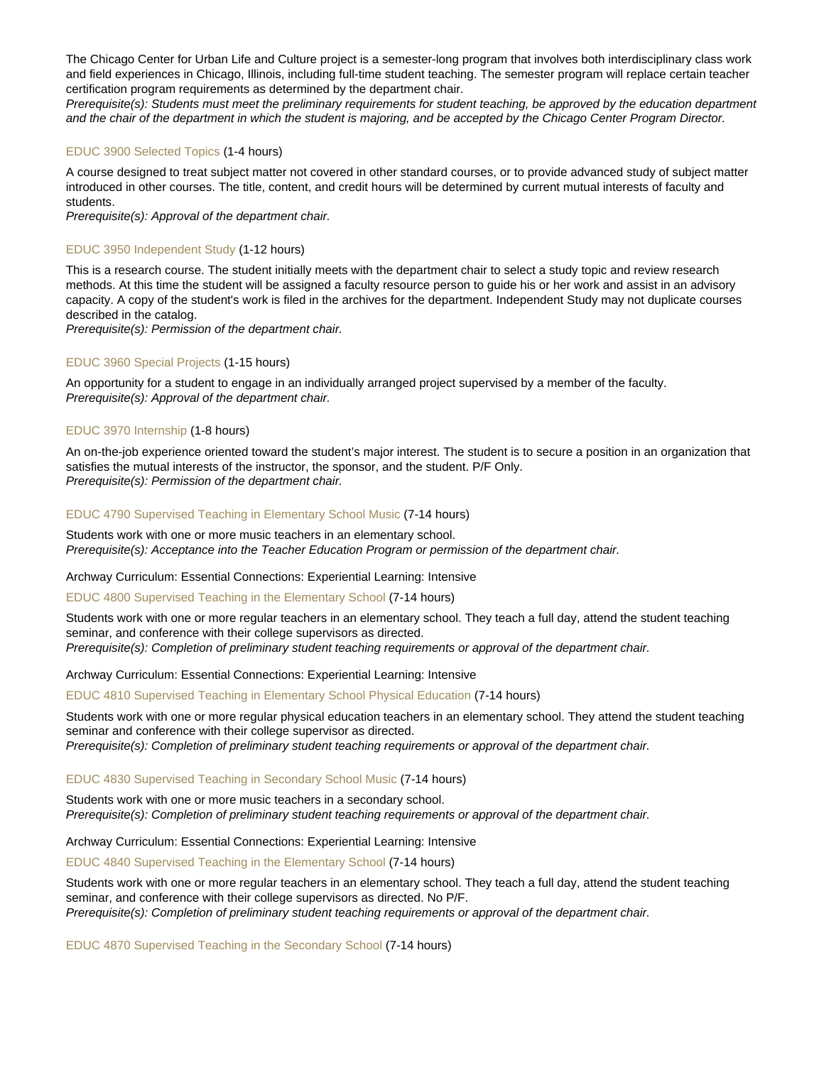The Chicago Center for Urban Life and Culture project is a semester-long program that involves both interdisciplinary class work and field experiences in Chicago, Illinois, including full-time student teaching. The semester program will replace certain teacher certification program requirements as determined by the department chair.

Prerequisite(s): Students must meet the preliminary requirements for student teaching, be approved by the education department and the chair of the department in which the student is majoring, and be accepted by the Chicago Center Program Director.

#### [EDUC 3900 Selected Topics](https://catalog.nebrwesleyan.edu/node/333370) (1-4 hours)

A course designed to treat subject matter not covered in other standard courses, or to provide advanced study of subject matter introduced in other courses. The title, content, and credit hours will be determined by current mutual interests of faculty and students.

Prerequisite(s): Approval of the department chair.

# [EDUC 3950 Independent Study](https://catalog.nebrwesleyan.edu/node/333373) (1-12 hours)

This is a research course. The student initially meets with the department chair to select a study topic and review research methods. At this time the student will be assigned a faculty resource person to guide his or her work and assist in an advisory capacity. A copy of the student's work is filed in the archives for the department. Independent Study may not duplicate courses described in the catalog.

Prerequisite(s): Permission of the department chair.

#### [EDUC 3960 Special Projects](https://catalog.nebrwesleyan.edu/node/333374) (1-15 hours)

An opportunity for a student to engage in an individually arranged project supervised by a member of the faculty. Prerequisite(s): Approval of the department chair.

#### [EDUC 3970 Internship](https://catalog.nebrwesleyan.edu/node/334810) (1-8 hours)

An on-the-job experience oriented toward the student's major interest. The student is to secure a position in an organization that satisfies the mutual interests of the instructor, the sponsor, and the student. P/F Only. Prerequisite(s): Permission of the department chair.

#### [EDUC 4790 Supervised Teaching in Elementary School Music](https://catalog.nebrwesleyan.edu/node/334562) (7-14 hours)

Students work with one or more music teachers in an elementary school. Prerequisite(s): Acceptance into the Teacher Education Program or permission of the department chair.

Archway Curriculum: Essential Connections: Experiential Learning: Intensive

#### [EDUC 4800 Supervised Teaching in the Elementary School](https://catalog.nebrwesleyan.edu/node/334563) (7-14 hours)

Students work with one or more regular teachers in an elementary school. They teach a full day, attend the student teaching seminar, and conference with their college supervisors as directed. Prerequisite(s): Completion of preliminary student teaching requirements or approval of the department chair.

Archway Curriculum: Essential Connections: Experiential Learning: Intensive

[EDUC 4810 Supervised Teaching in Elementary School Physical Education](https://catalog.nebrwesleyan.edu/node/334564) (7-14 hours)

Students work with one or more regular physical education teachers in an elementary school. They attend the student teaching seminar and conference with their college supervisor as directed. Prerequisite(s): Completion of preliminary student teaching requirements or approval of the department chair.

#### [EDUC 4830 Supervised Teaching in Secondary School Music](https://catalog.nebrwesleyan.edu/node/334566) (7-14 hours)

Students work with one or more music teachers in a secondary school. Prerequisite(s): Completion of preliminary student teaching requirements or approval of the department chair.

# Archway Curriculum: Essential Connections: Experiential Learning: Intensive

[EDUC 4840 Supervised Teaching in the Elementary School](https://catalog.nebrwesleyan.edu/node/334567) (7-14 hours)

Students work with one or more regular teachers in an elementary school. They teach a full day, attend the student teaching seminar, and conference with their college supervisors as directed. No P/F. Prerequisite(s): Completion of preliminary student teaching requirements or approval of the department chair.

[EDUC 4870 Supervised Teaching in the Secondary School](https://catalog.nebrwesleyan.edu/node/334569) (7-14 hours)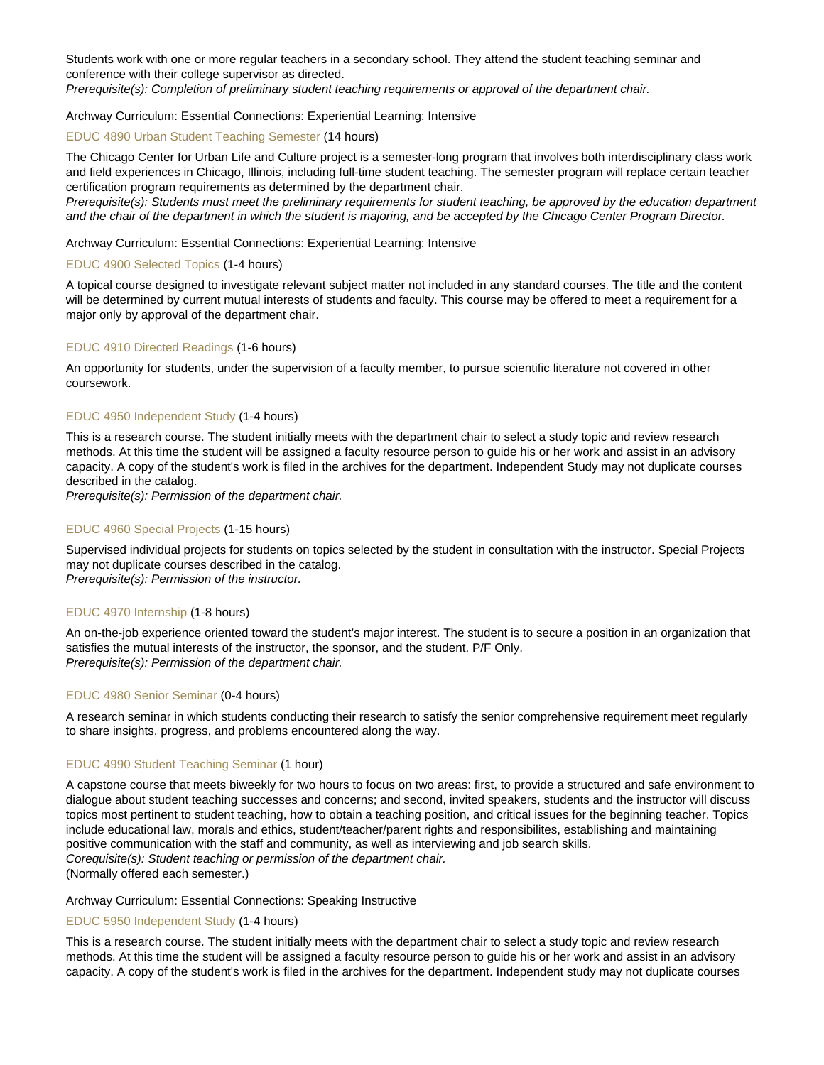Students work with one or more regular teachers in a secondary school. They attend the student teaching seminar and conference with their college supervisor as directed.

Prerequisite(s): Completion of preliminary student teaching requirements or approval of the department chair.

#### Archway Curriculum: Essential Connections: Experiential Learning: Intensive

#### [EDUC 4890 Urban Student Teaching Semester](https://catalog.nebrwesleyan.edu/node/335885) (14 hours)

The Chicago Center for Urban Life and Culture project is a semester-long program that involves both interdisciplinary class work and field experiences in Chicago, Illinois, including full-time student teaching. The semester program will replace certain teacher certification program requirements as determined by the department chair.

Prerequisite(s): Students must meet the preliminary requirements for student teaching, be approved by the education department and the chair of the department in which the student is majoring, and be accepted by the Chicago Center Program Director.

#### Archway Curriculum: Essential Connections: Experiential Learning: Intensive

#### [EDUC 4900 Selected Topics](https://catalog.nebrwesleyan.edu/node/334811) (1-4 hours)

A topical course designed to investigate relevant subject matter not included in any standard courses. The title and the content will be determined by current mutual interests of students and faculty. This course may be offered to meet a requirement for a major only by approval of the department chair.

#### [EDUC 4910 Directed Readings](https://catalog.nebrwesleyan.edu/node/334812) (1-6 hours)

An opportunity for students, under the supervision of a faculty member, to pursue scientific literature not covered in other coursework.

#### [EDUC 4950 Independent Study](https://catalog.nebrwesleyan.edu/node/334813) (1-4 hours)

This is a research course. The student initially meets with the department chair to select a study topic and review research methods. At this time the student will be assigned a faculty resource person to guide his or her work and assist in an advisory capacity. A copy of the student's work is filed in the archives for the department. Independent Study may not duplicate courses described in the catalog.

Prerequisite(s): Permission of the department chair.

### [EDUC 4960 Special Projects](https://catalog.nebrwesleyan.edu/node/334814) (1-15 hours)

Supervised individual projects for students on topics selected by the student in consultation with the instructor. Special Projects may not duplicate courses described in the catalog.

Prerequisite(s): Permission of the instructor.

#### [EDUC 4970 Internship](https://catalog.nebrwesleyan.edu/node/334815) (1-8 hours)

An on-the-job experience oriented toward the student's major interest. The student is to secure a position in an organization that satisfies the mutual interests of the instructor, the sponsor, and the student. P/F Only. Prerequisite(s): Permission of the department chair.

### [EDUC 4980 Senior Seminar](https://catalog.nebrwesleyan.edu/node/334816) (0-4 hours)

A research seminar in which students conducting their research to satisfy the senior comprehensive requirement meet regularly to share insights, progress, and problems encountered along the way.

#### [EDUC 4990 Student Teaching Seminar](https://catalog.nebrwesleyan.edu/node/334570) (1 hour)

A capstone course that meets biweekly for two hours to focus on two areas: first, to provide a structured and safe environment to dialogue about student teaching successes and concerns; and second, invited speakers, students and the instructor will discuss topics most pertinent to student teaching, how to obtain a teaching position, and critical issues for the beginning teacher. Topics include educational law, morals and ethics, student/teacher/parent rights and responsibilites, establishing and maintaining positive communication with the staff and community, as well as interviewing and job search skills. Corequisite(s): Student teaching or permission of the department chair. (Normally offered each semester.)

#### Archway Curriculum: Essential Connections: Speaking Instructive

### [EDUC 5950 Independent Study](https://catalog.nebrwesleyan.edu/node/335288) (1-4 hours)

This is a research course. The student initially meets with the department chair to select a study topic and review research methods. At this time the student will be assigned a faculty resource person to guide his or her work and assist in an advisory capacity. A copy of the student's work is filed in the archives for the department. Independent study may not duplicate courses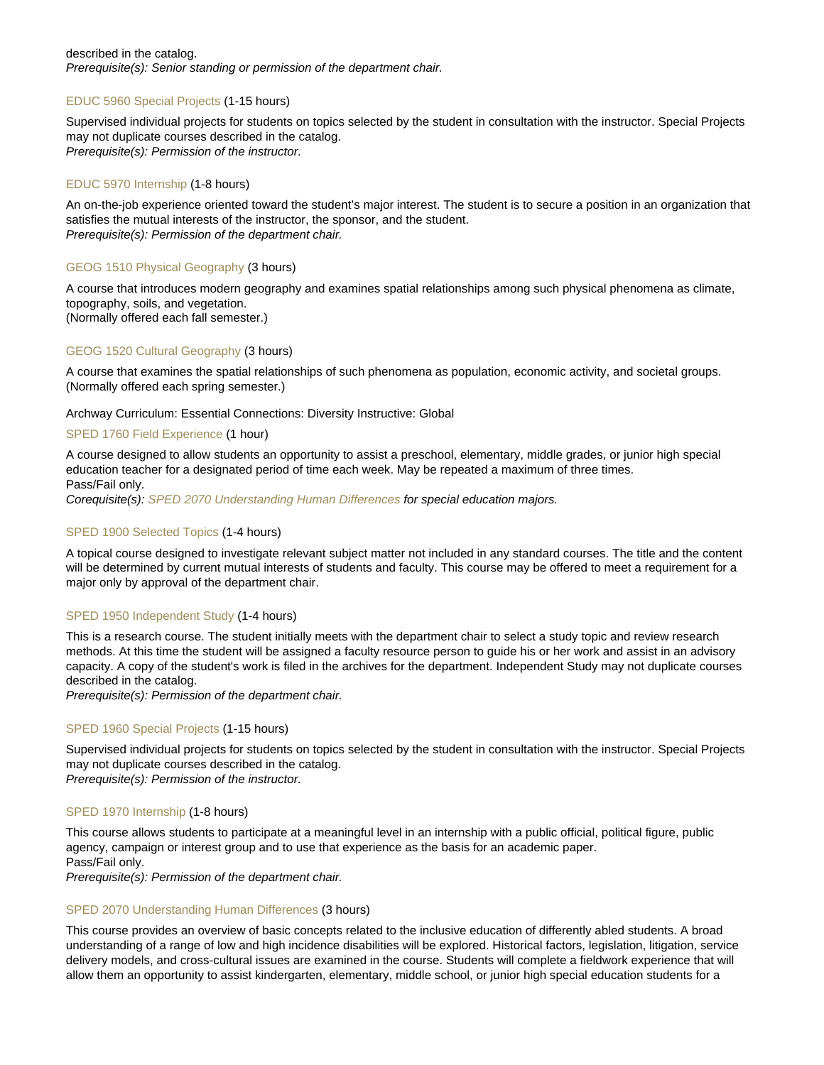#### described in the catalog. Prerequisite(s): Senior standing or permission of the department chair.

# [EDUC 5960 Special Projects](https://catalog.nebrwesleyan.edu/node/335289) (1-15 hours)

Supervised individual projects for students on topics selected by the student in consultation with the instructor. Special Projects may not duplicate courses described in the catalog. Prerequisite(s): Permission of the instructor.

# [EDUC 5970 Internship](https://catalog.nebrwesleyan.edu/node/335290) (1-8 hours)

An on-the-job experience oriented toward the student's major interest. The student is to secure a position in an organization that satisfies the mutual interests of the instructor, the sponsor, and the student. Prerequisite(s): Permission of the department chair.

# [GEOG 1510 Physical Geography](https://catalog.nebrwesleyan.edu/node/333399) (3 hours)

A course that introduces modern geography and examines spatial relationships among such physical phenomena as climate, topography, soils, and vegetation. (Normally offered each fall semester.)

# [GEOG 1520 Cultural Geography](https://catalog.nebrwesleyan.edu/node/333400) (3 hours)

A course that examines the spatial relationships of such phenomena as population, economic activity, and societal groups. (Normally offered each spring semester.)

### Archway Curriculum: Essential Connections: Diversity Instructive: Global

### [SPED 1760 Field Experience](https://catalog.nebrwesleyan.edu/node/333706) (1 hour)

A course designed to allow students an opportunity to assist a preschool, elementary, middle grades, or junior high special education teacher for a designated period of time each week. May be repeated a maximum of three times. Pass/Fail only.

Corequisite(s): [SPED 2070 Understanding Human Differences](https://catalog.nebrwesleyan.edu/cc/2021-2022/course/360228) for special education majors.

### [SPED 1900 Selected Topics](https://catalog.nebrwesleyan.edu/node/335161) (1-4 hours)

A topical course designed to investigate relevant subject matter not included in any standard courses. The title and the content will be determined by current mutual interests of students and faculty. This course may be offered to meet a requirement for a major only by approval of the department chair.

### [SPED 1950 Independent Study](https://catalog.nebrwesleyan.edu/node/335162) (1-4 hours)

This is a research course. The student initially meets with the department chair to select a study topic and review research methods. At this time the student will be assigned a faculty resource person to guide his or her work and assist in an advisory capacity. A copy of the student's work is filed in the archives for the department. Independent Study may not duplicate courses described in the catalog.

Prerequisite(s): Permission of the department chair.

### [SPED 1960 Special Projects](https://catalog.nebrwesleyan.edu/node/335163) (1-15 hours)

Supervised individual projects for students on topics selected by the student in consultation with the instructor. Special Projects may not duplicate courses described in the catalog.

Prerequisite(s): Permission of the instructor.

# [SPED 1970 Internship](https://catalog.nebrwesleyan.edu/node/335164) (1-8 hours)

This course allows students to participate at a meaningful level in an internship with a public official, political figure, public agency, campaign or interest group and to use that experience as the basis for an academic paper. Pass/Fail only.

Prerequisite(s): Permission of the department chair.

### [SPED 2070 Understanding Human Differences](https://catalog.nebrwesleyan.edu/node/333707) (3 hours)

This course provides an overview of basic concepts related to the inclusive education of differently abled students. A broad understanding of a range of low and high incidence disabilities will be explored. Historical factors, legislation, litigation, service delivery models, and cross-cultural issues are examined in the course. Students will complete a fieldwork experience that will allow them an opportunity to assist kindergarten, elementary, middle school, or junior high special education students for a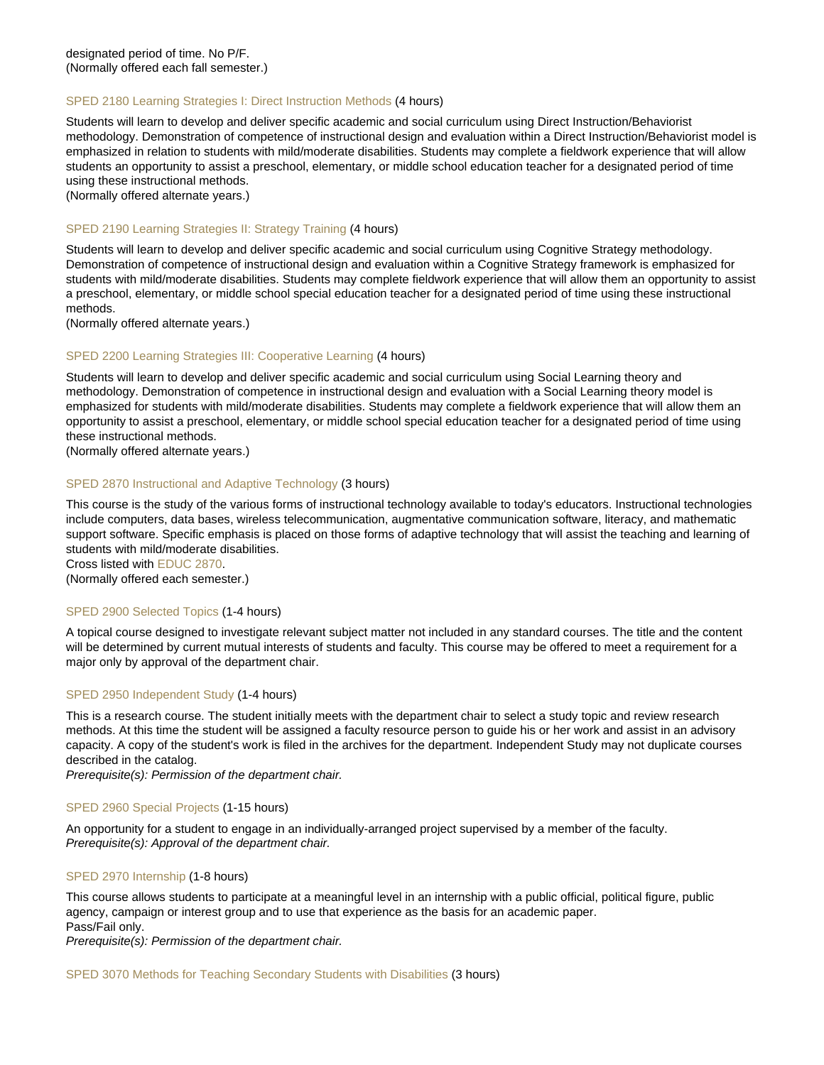# [SPED 2180 Learning Strategies I: Direct Instruction Methods](https://catalog.nebrwesleyan.edu/node/333708) (4 hours)

Students will learn to develop and deliver specific academic and social curriculum using Direct Instruction/Behaviorist methodology. Demonstration of competence of instructional design and evaluation within a Direct Instruction/Behaviorist model is emphasized in relation to students with mild/moderate disabilities. Students may complete a fieldwork experience that will allow students an opportunity to assist a preschool, elementary, or middle school education teacher for a designated period of time using these instructional methods.

(Normally offered alternate years.)

# [SPED 2190 Learning Strategies II: Strategy Training](https://catalog.nebrwesleyan.edu/node/333709) (4 hours)

Students will learn to develop and deliver specific academic and social curriculum using Cognitive Strategy methodology. Demonstration of competence of instructional design and evaluation within a Cognitive Strategy framework is emphasized for students with mild/moderate disabilities. Students may complete fieldwork experience that will allow them an opportunity to assist a preschool, elementary, or middle school special education teacher for a designated period of time using these instructional methods.

(Normally offered alternate years.)

#### [SPED 2200 Learning Strategies III: Cooperative Learning](https://catalog.nebrwesleyan.edu/node/333710) (4 hours)

Students will learn to develop and deliver specific academic and social curriculum using Social Learning theory and methodology. Demonstration of competence in instructional design and evaluation with a Social Learning theory model is emphasized for students with mild/moderate disabilities. Students may complete a fieldwork experience that will allow them an opportunity to assist a preschool, elementary, or middle school special education teacher for a designated period of time using these instructional methods.

(Normally offered alternate years.)

#### [SPED 2870 Instructional and Adaptive Technology](https://catalog.nebrwesleyan.edu/node/333711) (3 hours)

This course is the study of the various forms of instructional technology available to today's educators. Instructional technologies include computers, data bases, wireless telecommunication, augmentative communication software, literacy, and mathematic support software. Specific emphasis is placed on those forms of adaptive technology that will assist the teaching and learning of students with mild/moderate disabilities.

Cross listed with [EDUC 2870](https://catalog.nebrwesleyan.edu/cc/2021-2022/course/359745).

(Normally offered each semester.)

#### [SPED 2900 Selected Topics](https://catalog.nebrwesleyan.edu/node/335165) (1-4 hours)

A topical course designed to investigate relevant subject matter not included in any standard courses. The title and the content will be determined by current mutual interests of students and faculty. This course may be offered to meet a requirement for a major only by approval of the department chair.

#### [SPED 2950 Independent Study](https://catalog.nebrwesleyan.edu/node/335166) (1-4 hours)

This is a research course. The student initially meets with the department chair to select a study topic and review research methods. At this time the student will be assigned a faculty resource person to guide his or her work and assist in an advisory capacity. A copy of the student's work is filed in the archives for the department. Independent Study may not duplicate courses described in the catalog.

Prerequisite(s): Permission of the department chair.

#### [SPED 2960 Special Projects](https://catalog.nebrwesleyan.edu/node/333712) (1-15 hours)

An opportunity for a student to engage in an individually-arranged project supervised by a member of the faculty. Prerequisite(s): Approval of the department chair.

#### [SPED 2970 Internship](https://catalog.nebrwesleyan.edu/node/335167) (1-8 hours)

This course allows students to participate at a meaningful level in an internship with a public official, political figure, public agency, campaign or interest group and to use that experience as the basis for an academic paper. Pass/Fail only.

Prerequisite(s): Permission of the department chair.

[SPED 3070 Methods for Teaching Secondary Students with Disabilities](https://catalog.nebrwesleyan.edu/node/333713) (3 hours)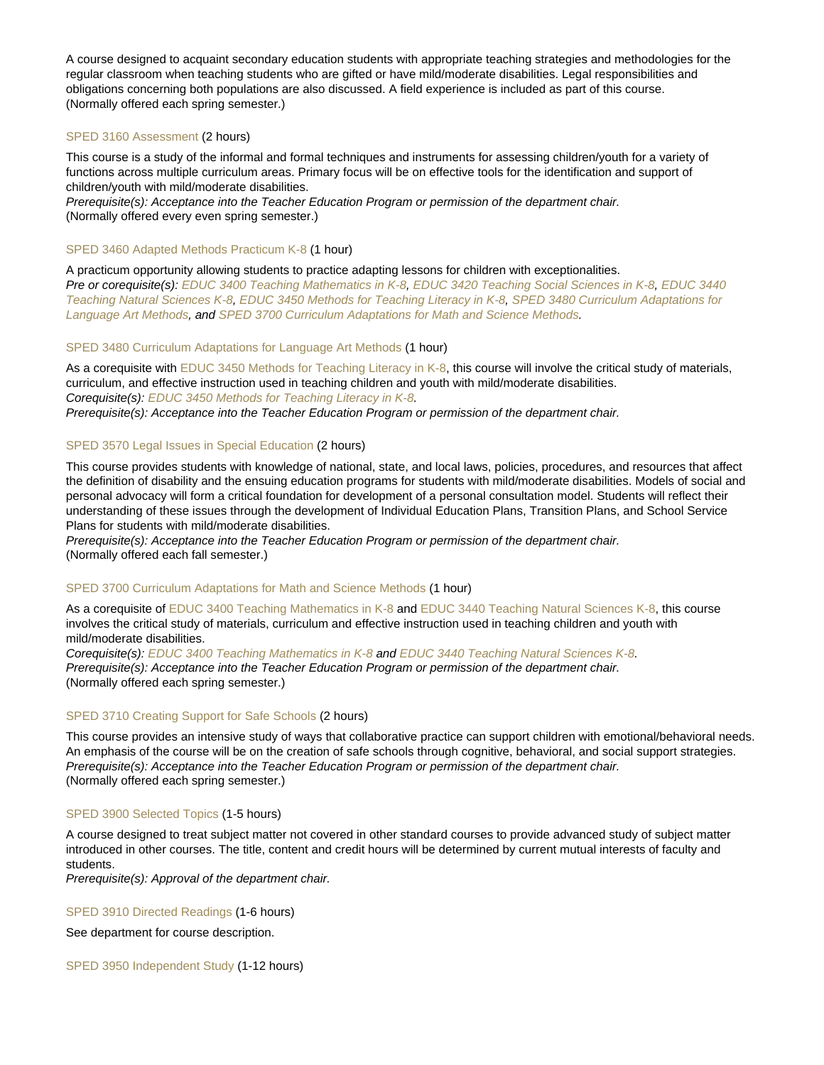A course designed to acquaint secondary education students with appropriate teaching strategies and methodologies for the regular classroom when teaching students who are gifted or have mild/moderate disabilities. Legal responsibilities and obligations concerning both populations are also discussed. A field experience is included as part of this course. (Normally offered each spring semester.)

# [SPED 3160 Assessment](https://catalog.nebrwesleyan.edu/node/333714) (2 hours)

This course is a study of the informal and formal techniques and instruments for assessing children/youth for a variety of functions across multiple curriculum areas. Primary focus will be on effective tools for the identification and support of children/youth with mild/moderate disabilities.

Prerequisite(s): Acceptance into the Teacher Education Program or permission of the department chair. (Normally offered every even spring semester.)

# [SPED 3460 Adapted Methods Practicum K-8](https://catalog.nebrwesleyan.edu/node/333715) (1 hour)

A practicum opportunity allowing students to practice adapting lessons for children with exceptionalities. Pre or corequisite(s): [EDUC 3400 Teaching Mathematics in K-8](https://catalog.nebrwesleyan.edu/cc/2019-2020/course/334197), [EDUC 3420 Teaching Social Sciences in K-8,](https://catalog.nebrwesleyan.edu/cc/2019-2020/course/333239) [EDUC 3440](https://catalog.nebrwesleyan.edu/cc/2019-2020/course/333240) [Teaching Natural Sciences K-8](https://catalog.nebrwesleyan.edu/cc/2019-2020/course/333240), [EDUC 3450 Methods for Teaching Literacy in K-8,](https://catalog.nebrwesleyan.edu/cc/2019-2020/course/333241) [SPED 3480 Curriculum Adaptations for](https://catalog.nebrwesleyan.edu/cc/2019-2020/course/333716) [Language Art Methods](https://catalog.nebrwesleyan.edu/cc/2019-2020/course/333716), and [SPED 3700 Curriculum Adaptations for Math and Science Methods](https://catalog.nebrwesleyan.edu/cc/2019-2020/course/333718).

# [SPED 3480 Curriculum Adaptations for Language Art Methods](https://catalog.nebrwesleyan.edu/node/333716) (1 hour)

As a corequisite with [EDUC 3450 Methods for Teaching Literacy in K-8,](https://catalog.nebrwesleyan.edu/cc/2021-2022/course/359762) this course will involve the critical study of materials, curriculum, and effective instruction used in teaching children and youth with mild/moderate disabilities. Corequisite(s): [EDUC 3450 Methods for Teaching Literacy in K-8.](https://catalog.nebrwesleyan.edu/cc/2021-2022/course/359762) Prerequisite(s): Acceptance into the Teacher Education Program or permission of the department chair.

### [SPED 3570 Legal Issues in Special Education](https://catalog.nebrwesleyan.edu/node/333717) (2 hours)

This course provides students with knowledge of national, state, and local laws, policies, procedures, and resources that affect the definition of disability and the ensuing education programs for students with mild/moderate disabilities. Models of social and personal advocacy will form a critical foundation for development of a personal consultation model. Students will reflect their understanding of these issues through the development of Individual Education Plans, Transition Plans, and School Service Plans for students with mild/moderate disabilities.

Prerequisite(s): Acceptance into the Teacher Education Program or permission of the department chair. (Normally offered each fall semester.)

### [SPED 3700 Curriculum Adaptations for Math and Science Methods](https://catalog.nebrwesleyan.edu/node/333718) (1 hour)

As a corequisite of [EDUC 3400 Teaching Mathematics in K-8](https://catalog.nebrwesleyan.edu/cc/2019-2020/course/334197) and [EDUC 3440 Teaching Natural Sciences K-8](https://catalog.nebrwesleyan.edu/cc/2019-2020/course/333240), this course involves the critical study of materials, curriculum and effective instruction used in teaching children and youth with mild/moderate disabilities.

Corequisite(s): [EDUC 3400 Teaching Mathematics in K-8](https://catalog.nebrwesleyan.edu/cc/2019-2020/course/334197) and [EDUC 3440 Teaching Natural Sciences K-8.](https://catalog.nebrwesleyan.edu/cc/2019-2020/course/333240) Prerequisite(s): Acceptance into the Teacher Education Program or permission of the department chair. (Normally offered each spring semester.)

### [SPED 3710 Creating Support for Safe Schools](https://catalog.nebrwesleyan.edu/node/333719) (2 hours)

This course provides an intensive study of ways that collaborative practice can support children with emotional/behavioral needs. An emphasis of the course will be on the creation of safe schools through cognitive, behavioral, and social support strategies. Prerequisite(s): Acceptance into the Teacher Education Program or permission of the department chair. (Normally offered each spring semester.)

#### [SPED 3900 Selected Topics](https://catalog.nebrwesleyan.edu/node/333723) (1-5 hours)

A course designed to treat subject matter not covered in other standard courses to provide advanced study of subject matter introduced in other courses. The title, content and credit hours will be determined by current mutual interests of faculty and students.

Prerequisite(s): Approval of the department chair.

#### [SPED 3910 Directed Readings](https://catalog.nebrwesleyan.edu/node/333724) (1-6 hours)

See department for course description.

[SPED 3950 Independent Study](https://catalog.nebrwesleyan.edu/node/333725) (1-12 hours)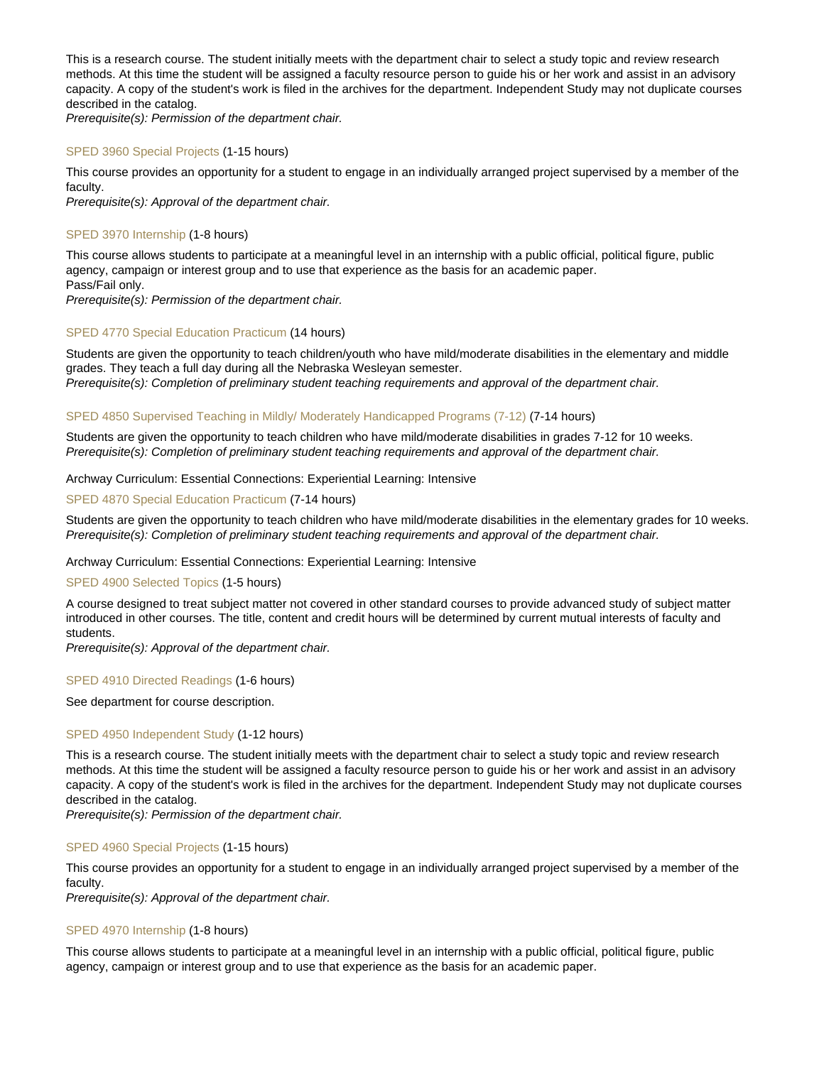This is a research course. The student initially meets with the department chair to select a study topic and review research methods. At this time the student will be assigned a faculty resource person to guide his or her work and assist in an advisory capacity. A copy of the student's work is filed in the archives for the department. Independent Study may not duplicate courses described in the catalog.

Prerequisite(s): Permission of the department chair.

#### [SPED 3960 Special Projects](https://catalog.nebrwesleyan.edu/node/333726) (1-15 hours)

This course provides an opportunity for a student to engage in an individually arranged project supervised by a member of the faculty.

Prerequisite(s): Approval of the department chair.

#### [SPED 3970 Internship](https://catalog.nebrwesleyan.edu/node/335168) (1-8 hours)

This course allows students to participate at a meaningful level in an internship with a public official, political figure, public agency, campaign or interest group and to use that experience as the basis for an academic paper. Pass/Fail only.

Prerequisite(s): Permission of the department chair.

#### [SPED 4770 Special Education Practicum](https://catalog.nebrwesleyan.edu/node/335368) (14 hours)

Students are given the opportunity to teach children/youth who have mild/moderate disabilities in the elementary and middle grades. They teach a full day during all the Nebraska Wesleyan semester. Prerequisite(s): Completion of preliminary student teaching requirements and approval of the department chair.

#### [SPED 4850 Supervised Teaching in Mildly/ Moderately Handicapped Programs \(7-12\)](https://catalog.nebrwesleyan.edu/node/335369) (7-14 hours)

Students are given the opportunity to teach children who have mild/moderate disabilities in grades 7-12 for 10 weeks. Prerequisite(s): Completion of preliminary student teaching requirements and approval of the department chair.

#### Archway Curriculum: Essential Connections: Experiential Learning: Intensive

#### [SPED 4870 Special Education Practicum](https://catalog.nebrwesleyan.edu/node/335370) (7-14 hours)

Students are given the opportunity to teach children who have mild/moderate disabilities in the elementary grades for 10 weeks. Prerequisite(s): Completion of preliminary student teaching requirements and approval of the department chair.

#### Archway Curriculum: Essential Connections: Experiential Learning: Intensive

#### [SPED 4900 Selected Topics](https://catalog.nebrwesleyan.edu/node/333727) (1-5 hours)

A course designed to treat subject matter not covered in other standard courses to provide advanced study of subject matter introduced in other courses. The title, content and credit hours will be determined by current mutual interests of faculty and students.

Prerequisite(s): Approval of the department chair.

### [SPED 4910 Directed Readings](https://catalog.nebrwesleyan.edu/node/333728) (1-6 hours)

See department for course description.

### [SPED 4950 Independent Study](https://catalog.nebrwesleyan.edu/node/333729) (1-12 hours)

This is a research course. The student initially meets with the department chair to select a study topic and review research methods. At this time the student will be assigned a faculty resource person to guide his or her work and assist in an advisory capacity. A copy of the student's work is filed in the archives for the department. Independent Study may not duplicate courses described in the catalog.

Prerequisite(s): Permission of the department chair.

#### [SPED 4960 Special Projects](https://catalog.nebrwesleyan.edu/node/333730) (1-15 hours)

This course provides an opportunity for a student to engage in an individually arranged project supervised by a member of the faculty.

Prerequisite(s): Approval of the department chair.

#### [SPED 4970 Internship](https://catalog.nebrwesleyan.edu/node/335169) (1-8 hours)

This course allows students to participate at a meaningful level in an internship with a public official, political figure, public agency, campaign or interest group and to use that experience as the basis for an academic paper.